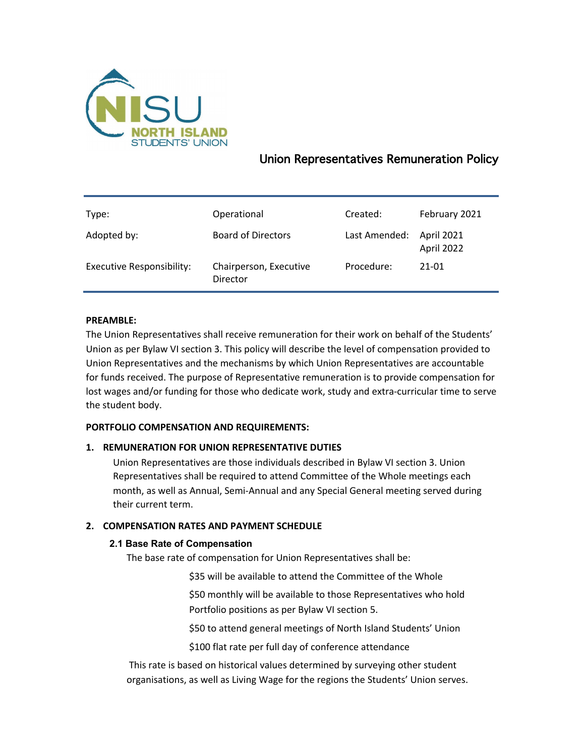

# Union Representatives Remuneration Policy

| Type:                            | Operational                        | Created:      | February 2021            |
|----------------------------------|------------------------------------|---------------|--------------------------|
| Adopted by:                      | <b>Board of Directors</b>          | Last Amended: | April 2021<br>April 2022 |
| <b>Executive Responsibility:</b> | Chairperson, Executive<br>Director | Procedure:    | $21 - 01$                |

# **PREAMBLE:**

The Union Representatives shall receive remuneration for their work on behalf of the Students' Union as per Bylaw VI section 3. This policy will describe the level of compensation provided to Union Representatives and the mechanisms by which Union Representatives are accountable for funds received. The purpose of Representative remuneration is to provide compensation for lost wages and/or funding for those who dedicate work, study and extra-curricular time to serve the student body.

# **PORTFOLIO COMPENSATION AND REQUIREMENTS:**

# **1. REMUNERATION FOR UNION REPRESENTATIVE DUTIES**

Union Representatives are those individuals described in Bylaw VI section 3. Union Representatives shall be required to attend Committee of the Whole meetings each month, as well as Annual, Semi-Annual and any Special General meeting served during their current term.

# **2. COMPENSATION RATES AND PAYMENT SCHEDULE**

# **2.1 Base Rate of Compensation**

The base rate of compensation for Union Representatives shall be:

\$35 will be available to attend the Committee of the Whole

\$50 monthly will be available to those Representatives who hold Portfolio positions as per Bylaw VI section 5.

\$50 to attend general meetings of North Island Students' Union

\$100 flat rate per full day of conference attendance

This rate is based on historical values determined by surveying other student organisations, as well as Living Wage for the regions the Students' Union serves.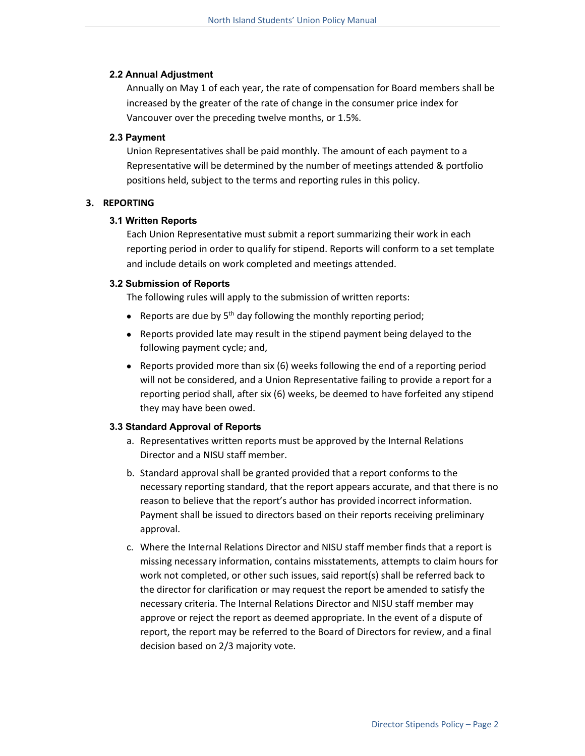#### **2.2 Annual Adjustment**

Annually on May 1 of each year, the rate of compensation for Board members shall be increased by the greater of the rate of change in the consumer price index for Vancouver over the preceding twelve months, or 1.5%.

#### **2.3 Payment**

Union Representatives shall be paid monthly. The amount of each payment to a Representative will be determined by the number of meetings attended & portfolio positions held, subject to the terms and reporting rules in this policy.

#### **3. REPORTING**

#### **3.1 Written Reports**

Each Union Representative must submit a report summarizing their work in each reporting period in order to qualify for stipend. Reports will conform to a set template and include details on work completed and meetings attended.

#### **3.2 Submission of Reports**

The following rules will apply to the submission of written reports:

- Reports are due by  $5<sup>th</sup>$  day following the monthly reporting period;
- Reports provided late may result in the stipend payment being delayed to the following payment cycle; and,
- Reports provided more than six (6) weeks following the end of a reporting period will not be considered, and a Union Representative failing to provide a report for a reporting period shall, after six (6) weeks, be deemed to have forfeited any stipend they may have been owed.

# **3.3 Standard Approval of Reports**

- a. Representatives written reports must be approved by the Internal Relations Director and a NISU staff member.
- b. Standard approval shall be granted provided that a report conforms to the necessary reporting standard, that the report appears accurate, and that there is no reason to believe that the report's author has provided incorrect information. Payment shall be issued to directors based on their reports receiving preliminary approval.
- c. Where the Internal Relations Director and NISU staff member finds that a report is missing necessary information, contains misstatements, attempts to claim hours for work not completed, or other such issues, said report(s) shall be referred back to the director for clarification or may request the report be amended to satisfy the necessary criteria. The Internal Relations Director and NISU staff member may approve or reject the report as deemed appropriate. In the event of a dispute of report, the report may be referred to the Board of Directors for review, and a final decision based on 2/3 majority vote.